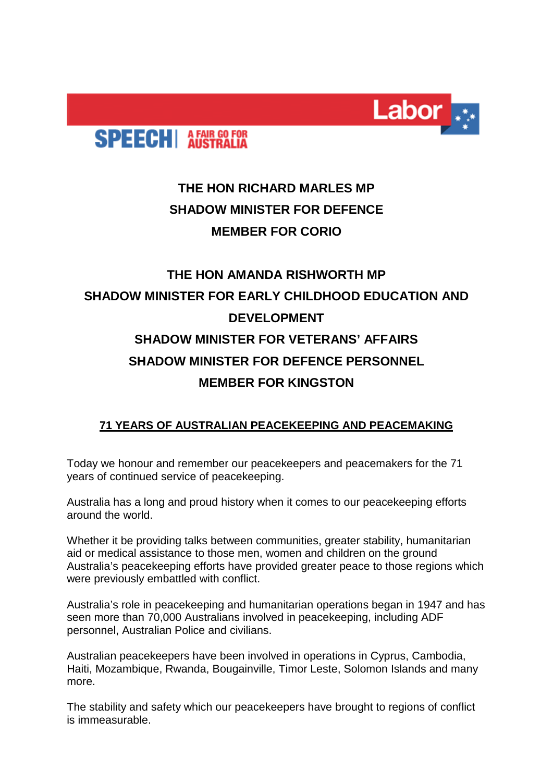

## **SPEECH** AFAIR GO FOR

## **THE HON RICHARD MARLES MP SHADOW MINISTER FOR DEFENCE MEMBER FOR CORIO**

## **THE HON AMANDA RISHWORTH MP SHADOW MINISTER FOR EARLY CHILDHOOD EDUCATION AND DEVELOPMENT SHADOW MINISTER FOR VETERANS' AFFAIRS SHADOW MINISTER FOR DEFENCE PERSONNEL MEMBER FOR KINGSTON**

## **71 YEARS OF AUSTRALIAN PEACEKEEPING AND PEACEMAKING**

Today we honour and remember our peacekeepers and peacemakers for the 71 years of continued service of peacekeeping.

Australia has a long and proud history when it comes to our peacekeeping efforts around the world.

Whether it be providing talks between communities, greater stability, humanitarian aid or medical assistance to those men, women and children on the ground Australia's peacekeeping efforts have provided greater peace to those regions which were previously embattled with conflict.

Australia's role in peacekeeping and humanitarian operations began in 1947 and has seen more than 70,000 Australians involved in peacekeeping, including ADF personnel, Australian Police and civilians.

Australian peacekeepers have been involved in operations in Cyprus, Cambodia, Haiti, Mozambique, Rwanda, Bougainville, Timor Leste, Solomon Islands and many more.

The stability and safety which our peacekeepers have brought to regions of conflict is immeasurable.